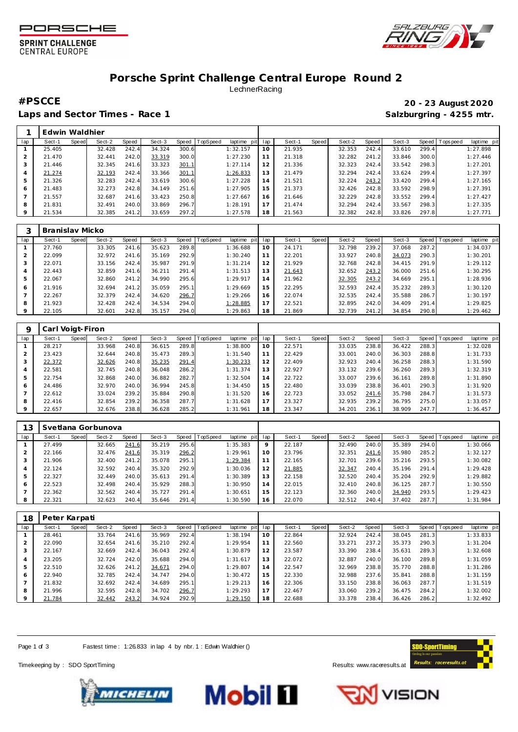





## **Porsche Sprint Challenge Central Europe Round 2** LechnerRacing

Laps and Sector Times - Race 1 **Salzburgring - 4255 mtr.** And Salzburgring - 4255 mtr.

**#PSCCE 20 - 23 August 2020**

|                | Edwin Waldhier |       |        |       |        |       |          |                |                 |        |       |        |       |        |       |           |            |
|----------------|----------------|-------|--------|-------|--------|-------|----------|----------------|-----------------|--------|-------|--------|-------|--------|-------|-----------|------------|
| lap            | Sect-1         | Speed | Sect-2 | Speed | Sect-3 | Speed | TopSpeed | laptime<br>pit | lap             | Sect-1 | Speed | Sect-2 | Speed | Sect-3 | Speed | Tops peed | laptime pi |
|                | 25.405         |       | 32.428 | 242.4 | 34.324 | 300.6 |          | 1:32.157       | $10^{-1}$       | 21.935 |       | 32.353 | 242.4 | 33.610 | 299.4 |           | 1:27.898   |
| 2              | 21.470         |       | 32.441 | 242.0 | 33.319 | 300.0 |          | 1:27.230       |                 | 21.318 |       | 32.282 | 241.2 | 33.846 | 300.0 |           | 1:27.446   |
| 3              | 21.446         |       | 32.345 | 241.6 | 33.323 | 301.1 |          | 1:27.114       | 12 <sub>1</sub> | 21.336 |       | 32.323 | 242.4 | 33.542 | 298.3 |           | 1:27.201   |
| $\overline{a}$ | 21.274         |       | 32.193 | 242.4 | 33.366 | 301.1 |          | 1:26.833       | 13              | 21.479 |       | 32.294 | 242.4 | 33.624 | 299.4 |           | 1:27.397   |
| 5              | 21.326         |       | 32.283 | 242.4 | 33.619 | 300.6 |          | 1:27.228       | 14              | 21.521 |       | 32.224 | 243.2 | 33.420 | 299.4 |           | 1:27.165   |
| 6              | 21.483         |       | 32.273 | 242.8 | 34.149 | 251.6 |          | 1:27.905       | 15              | 21.373 |       | 32.426 | 242.8 | 33.592 | 298.9 |           | 1:27.391   |
|                | 21.557         |       | 32.687 | 241.6 | 33.423 | 250.8 |          | 1:27.667       | 16              | 21.646 |       | 32.229 | 242.8 | 33.552 | 299.4 |           | 1:27.427   |
| 8              | 21.831         |       | 32.491 | 240.0 | 33.869 | 296.7 |          | 1:28.191       |                 | 21.474 |       | 32.294 | 242.4 | 33.567 | 298.3 |           | 1:27.335   |
| 9              | 21.534         |       | 32.385 | 241.2 | 33.659 | 297.2 |          | 1:27.578       | 18              | 21.563 |       | 32.382 | 242.8 | 33.826 | 297.8 |           | 1:27.771   |

|     | Branislav Micko |       |        |       |        |       |          |             |     |        |       |        |       |        |       |           |             |
|-----|-----------------|-------|--------|-------|--------|-------|----------|-------------|-----|--------|-------|--------|-------|--------|-------|-----------|-------------|
| lap | Sect-1          | Speed | Sect-2 | Speed | Sect-3 | Speed | TopSpeed | laptime pit | lap | Sect-1 | Speed | Sect-2 | Speed | Sect-3 | Speed | Tops peed | laptime pit |
|     | 27.760          |       | 33.305 | 241.6 | 35.623 | 289.8 |          | 1:36.688    | 10  | 24.171 |       | 32.798 | 239.2 | 37.068 | 287.2 |           | 1:34.037    |
| 2   | 22.099          |       | 32.972 | 241.6 | 35.169 | 292.9 |          | 1:30.240    | 11  | 22.201 |       | 33.927 | 240.8 | 34.073 | 290.3 |           | 1:30.201    |
| 3   | 22.071          |       | 33.156 | 242.4 | 35.987 | 291.9 |          | 1:31.214    | 12  | 21.929 |       | 32.768 | 242.8 | 34.415 | 291.9 |           | 1:29.112    |
| 4   | 22.443          |       | 32.859 | 241.6 | 36.211 | 291.4 |          | 1:31.513    | 13  | 21.643 |       | 32.652 | 243.2 | 36.000 | 251.6 |           | 1:30.295    |
| 5   | 22.067          |       | 32.860 | 241.2 | 34.990 | 295.6 |          | 1:29.917    | 14  | 21.962 |       | 32.305 | 243.2 | 34.669 | 295.1 |           | 1:28.936    |
| 6   | 21.916          |       | 32.694 | 241.2 | 35.059 | 295.1 |          | 1:29.669    | 15  | 22.295 |       | 32.593 | 242.4 | 35.232 | 289.3 |           | 1:30.120    |
|     | 22.267          |       | 32.379 | 242.4 | 34.620 | 296.7 |          | 1:29.266    | 16  | 22.074 |       | 32.535 | 242.4 | 35.588 | 286.7 |           | 1:30.197    |
| 8   | 21.923          |       | 32.428 | 242.4 | 34.534 | 294.0 |          | 1:28.885    | 17  | 22.521 |       | 32.895 | 242.0 | 34.409 | 291.4 |           | 1:29.825    |
| 9   | 22.105          |       | 32.601 | 242.8 | 35.157 | 294.0 |          | 1:29.863    | 18  | 21.869 |       | 32.739 | 241.2 | 34.854 | 290.8 |           | 1:29.462    |

|     | Carl Voigt-Firon |       |        |       |        |       |                 |             |     |        |       |        |       |        |       |                 |             |
|-----|------------------|-------|--------|-------|--------|-------|-----------------|-------------|-----|--------|-------|--------|-------|--------|-------|-----------------|-------------|
| lap | Sect-1           | Speed | Sect-2 | Speed | Sect-3 | Speed | <b>TopSpeed</b> | laptime pit | lap | Sect-1 | Speed | Sect-2 | Speed | Sect-3 |       | Speed Tops peed | laptime pit |
|     | 28.217           |       | 33.968 | 240.8 | 36.615 | 289.8 |                 | 1:38.800    | 10  | 22.571 |       | 33.035 | 238.8 | 36.422 | 288.3 |                 | 1:32.028    |
|     | 23.423           |       | 32.644 | 240.8 | 35.473 | 289.3 |                 | 1:31.540    | 11  | 22.429 |       | 33.001 | 240.0 | 36.303 | 288.8 |                 | 1:31.733    |
| 3   | 22.372           |       | 32.626 | 240.8 | 35.235 | 291.4 |                 | 1:30.233    | 12  | 22.409 |       | 32.923 | 240.4 | 36.258 | 288.3 |                 | 1:31.590    |
| 4   | 22.581           |       | 32.745 | 240.8 | 36.048 | 286.2 |                 | 1:31.374    | 13  | 22.927 |       | 33.132 | 239.6 | 36.260 | 289.3 |                 | 1:32.319    |
| 5   | 22.754           |       | 32.868 | 240.0 | 36.882 | 282.7 |                 | 1:32.504    | 14  | 22.722 |       | 33.007 | 239.6 | 36.161 | 289.8 |                 | 1:31.890    |
| 6   | 24.486           |       | 32.970 | 240.0 | 36.994 | 245.8 |                 | 1:34.450    | 15  | 22.480 |       | 33.039 | 238.8 | 36.401 | 290.3 |                 | 1:31.920    |
|     | 22.612           |       | 33.024 | 239.2 | 35.884 | 290.8 |                 | 1:31.520    | 16  | 22.723 |       | 33.052 | 241.6 | 35.798 | 284.7 |                 | 1:31.573    |
| 8   | 22.416           |       | 32.854 | 239.2 | 36.358 | 287.7 |                 | 1:31.628    | 17  | 23.327 |       | 32.935 | 239.2 | 36.795 | 275.0 |                 | 1:33.057    |
| 9   | 22.657           |       | 32.676 | 238.8 | 36.628 | 285.2 |                 | 1:31.961    | 18  | 23.347 |       | 34.201 | 236.1 | 38.909 | 247.7 |                 | 1:36.457    |

| ' 3 |        |       | Svetlana Gorbunova |       |        |       |          |             |     |        |              |        |       |        |       |            |             |
|-----|--------|-------|--------------------|-------|--------|-------|----------|-------------|-----|--------|--------------|--------|-------|--------|-------|------------|-------------|
| lap | Sect-1 | Speed | Sect-2             | Speed | Sect-3 | Speed | TopSpeed | laptime pit | lap | Sect-1 | <b>Speed</b> | Sect-2 | Speed | Sect-3 | Speed | Tops pee d | laptime pit |
|     | 27.499 |       | 32.665             | 241.6 | 35.219 | 295.6 |          | 1:35.383    | 9   | 22.187 |              | 32.490 | 240.0 | 35.389 | 294.0 |            | 1:30.066    |
|     | 22.166 |       | 32.476             | 241.6 | 35.319 | 296.2 |          | 1:29.961    | 10  | 23.796 |              | 32.351 | 241.6 | 35.980 | 285.2 |            | 1:32.127    |
|     | 21.906 |       | 32.400             | 241.2 | 35.078 | 295.1 |          | 1:29.384    | 11  | 22.165 |              | 32.701 | 239.6 | 35.216 | 293.5 |            | 1:30.082    |
|     | 22.124 |       | 32.592             | 240.4 | 35.320 | 292.9 |          | 1:30.036    | 12  | 21.885 |              | 32.347 | 240.4 | 35.196 | 291.4 |            | 1:29.428    |
|     | 22.327 |       | 32.449             | 240.0 | 35.613 | 291.4 |          | 1:30.389    | 13  | 22.158 |              | 32.520 | 240.4 | 35.204 | 292.9 |            | 1:29.882    |
| 6   | 22.523 |       | 32.498             | 240.4 | 35.929 | 288.3 |          | 1:30.950    | 14  | 22.015 |              | 32.410 | 240.8 | 36.125 | 287.7 |            | 1:30.550    |
|     | 22.362 |       | 32.562             | 240.4 | 35.727 | 291.4 |          | 1:30.651    | 15  | 22.123 |              | 32.360 | 240.0 | 34.940 | 293.5 |            | 1:29.423    |
|     | 22.321 |       | 32.623             | 240.4 | 35.646 | 291.4 |          | 1:30.590    | 16  | 22.070 |              | 32.512 | 240.4 | 37.402 | 287.7 |            | 1:31.984    |

| 18      | Peter Karpati |       |        |       |        |       |                 |             |     |        |       |        |       |        |       |                   |             |
|---------|---------------|-------|--------|-------|--------|-------|-----------------|-------------|-----|--------|-------|--------|-------|--------|-------|-------------------|-------------|
| lap     | Sect-1        | Speed | Sect-2 | Speed | Sect-3 | Speed | <b>TopSpeed</b> | laptime pit | lap | Sect-1 | Speed | Sect-2 | Speed | Sect-3 |       | Speed   Tops peed | laptime pit |
|         | 28.461        |       | 33.764 | 241.6 | 35.969 | 292.4 |                 | 1:38.194    | 10  | 22.864 |       | 32.924 | 242.4 | 38.045 | 281.3 |                   | 1:33.833    |
|         | 22.090        |       | 32.654 | 241.6 | 35.210 | 292.4 |                 | 1:29.954    | 11  | 22.560 |       | 33.271 | 237.2 | 35.373 | 290.3 |                   | 1:31.204    |
|         | 22.167        |       | 32.669 | 242.4 | 36.043 | 292.4 |                 | 1:30.879    | 12  | 23.587 |       | 33.390 | 238.4 | 35.631 | 289.3 |                   | 1:32.608    |
|         | 23.205        |       | 32.724 | 242.0 | 35.688 | 294.0 |                 | 1:31.617    | 13  | 22.072 |       | 32.887 | 240.0 | 36.100 | 289.8 |                   | 1:31.059    |
| 5       | 22.510        |       | 32.626 | 241.2 | 34.671 | 294.0 |                 | 1:29.807    | 14  | 22.547 |       | 32.969 | 238.8 | 35.770 | 288.8 |                   | 1:31.286    |
| 6       | 22.940        |       | 32.785 | 242.4 | 34.747 | 294.0 |                 | 1:30.472    | 15  | 22.330 |       | 32.988 | 237.6 | 35.841 | 288.8 |                   | 1:31.159    |
|         | 21.832        |       | 32.692 | 242.4 | 34.689 | 295.1 |                 | 1:29.213    | 16  | 22.306 |       | 33.150 | 238.8 | 36.063 | 287.7 |                   | 1:31.519    |
| 8       | 21.996        |       | 32.595 | 242.8 | 34.702 | 296.7 |                 | 1:29.293    | 17  | 22.467 |       | 33.060 | 239.2 | 36.475 | 284.2 |                   | 1:32.002    |
| $\circ$ | 21.784        |       | 32.442 | 243.2 | 34.924 | 292.9 |                 | 1:29.150    | 18  | 22.688 |       | 33.378 | 238.4 | 36.426 | 286.2 |                   | 1:32.492    |

Page 1 of 3 Fastest time: 1:26.833 in lap 4 by nbr. 1 : Edwin Waldhier ()

Timekeeping by : SDO SportTiming **Results: WWW.raceresults.at** 







**VISION**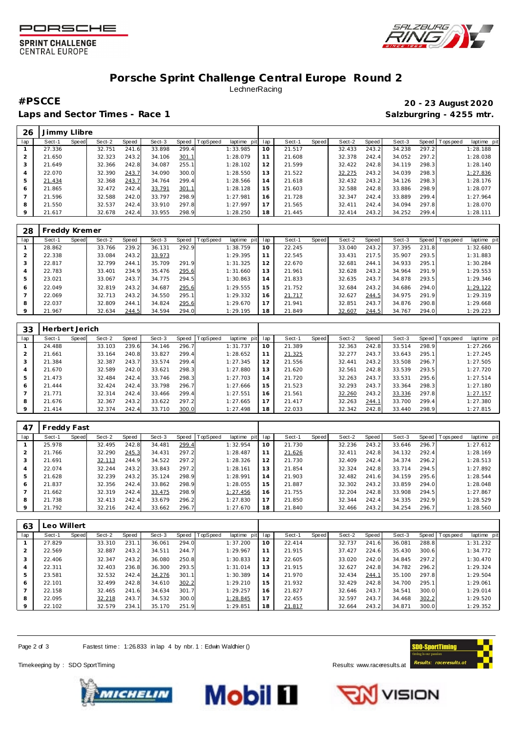





## **Porsche Sprint Challenge Central Europe Round 2** LechnerRacing

Laps and Sector Times - Race 1 **Salzburgring - 4255 mtr.** Salzburgring - 4255 mtr.

**#PSCCE 20 - 23 August 2020**

| 26  | Jimmy Llibre |       |        |       |        |       |          |                |     |        |       |        |       |        |       |                |             |
|-----|--------------|-------|--------|-------|--------|-------|----------|----------------|-----|--------|-------|--------|-------|--------|-------|----------------|-------------|
| lap | Sect-1       | Speed | Sect-2 | Speed | Sect-3 | Speed | TopSpeed | laptime<br>pit | lap | Sect-1 | Speed | Sect-2 | Speed | Sect-3 |       | Speed Topspeed | laptime pit |
|     | 27.336       |       | 32.751 | 241.6 | 33.898 | 299.4 |          | 1:33.985       | 10  | 21.517 |       | 32.433 | 243.2 | 34.238 | 297.2 |                | 1:28.188    |
|     | 21.650       |       | 32.323 | 243.2 | 34.106 | 301.1 |          | 1:28.079       |     | 21.608 |       | 32.378 | 242.4 | 34.052 | 297.2 |                | 1:28.038    |
| 3   | 21.649       |       | 32.366 | 242.8 | 34.087 | 255.1 |          | 1:28.102       | 12  | 21.599 |       | 32.422 | 242.8 | 34.119 | 298.3 |                | 1:28.140    |
| 4   | 22.070       |       | 32.390 | 243.7 | 34.090 | 300.0 |          | 1:28.550       | 13  | 21.522 |       | 32.275 | 243.2 | 34.039 | 298.3 |                | 1:27.836    |
| 5   | 21.434       |       | 32.368 | 243.7 | 34.764 | 299.4 |          | 1:28.566       | 14  | 21.618 |       | 32.432 | 243.2 | 34.126 | 298.3 |                | 1:28.176    |
| 6   | 21.865       |       | 32.472 | 242.4 | 33.791 | 301.1 |          | 1:28.128       | 5   | 21.603 |       | 32.588 | 242.8 | 33.886 | 298.9 |                | 1:28.077    |
|     | 21.596       |       | 32.588 | 242.0 | 33.797 | 298.9 |          | 1:27.981       | 16  | 21.728 |       | 32.347 | 242.4 | 33.889 | 299.4 |                | 1:27.964    |
| 8   | 21.550       |       | 32.537 | 242.4 | 33.910 | 297.8 |          | 1:27.997       | 17  | 21.565 |       | 32.411 | 242.4 | 34.094 | 297.8 |                | 1:28.070    |
| 9   | 21.617       |       | 32.678 | 242.4 | 33.955 | 298.9 |          | 1:28.250       | 18  | 21.445 |       | 32.414 | 243.2 | 34.252 | 299.4 |                | 1:28.111    |

| 28      | Freddy Kremer |       |        |       |        |       |          |             |     |        |              |        |       |        |       |           |             |
|---------|---------------|-------|--------|-------|--------|-------|----------|-------------|-----|--------|--------------|--------|-------|--------|-------|-----------|-------------|
| lap     | Sect-1        | Speed | Sect-2 | Speed | Sect-3 | Speed | TopSpeed | laptime pit | lap | Sect-1 | <b>Speed</b> | Sect-2 | Speed | Sect-3 | Speed | Tops peed | laptime pit |
|         | 28.862        |       | 33.766 | 239.2 | 36.131 | 292.9 |          | 1:38.759    | 10  | 22.245 |              | 33.040 | 243.2 | 37.395 | 231.8 |           | 1:32.680    |
|         | 22.338        |       | 33.084 | 243.2 | 33.973 |       |          | 1:29.395    | 11  | 22.545 |              | 33.431 | 217.5 | 35.907 | 293.5 |           | 1:31.883    |
| 3       | 22.817        |       | 32.799 | 244.1 | 35.709 | 291.9 |          | 1:31.325    | 12  | 22.670 |              | 32.681 | 244.1 | 34.933 | 295.1 |           | 1:30.284    |
| 4       | 22.783        |       | 33.401 | 234.9 | 35.476 | 295.6 |          | 1:31.660    | 13  | 21.961 |              | 32.628 | 243.2 | 34.964 | 291.9 |           | 1:29.553    |
| 5       | 23.021        |       | 33.067 | 243.7 | 34.775 | 294.5 |          | 1:30.863    | 14  | 21.833 |              | 32.635 | 243.7 | 34.878 | 293.5 |           | 1:29.346    |
| 6       | 22.049        |       | 32.819 | 243.2 | 34.687 | 295.6 |          | 1:29.555    | 15  | 21.752 |              | 32.684 | 243.2 | 34.686 | 294.0 |           | 1:29.122    |
|         | 22.069        |       | 32.713 | 243.2 | 34.550 | 295.1 |          | 1:29.332    | 16  | 21.717 |              | 32.627 | 244.5 | 34.975 | 291.9 |           | 1:29.319    |
| 8       | 22.037        |       | 32.809 | 244.1 | 34.824 | 295.6 |          | 1:29.670    | 17  | 21.941 |              | 32.851 | 243.7 | 34.876 | 290.8 |           | 1:29.668    |
| $\circ$ | 21.967        |       | 32.634 | 244.5 | 34.594 | 294.0 |          | 1:29.195    | 18  | 21.849 |              | 32.607 | 244.5 | 34.767 | 294.0 |           | 1:29.223    |

| 33  | Herbert Jerich |       |        |       |        |       |                 |             |     |        |       |        |       |        |       |                 |             |
|-----|----------------|-------|--------|-------|--------|-------|-----------------|-------------|-----|--------|-------|--------|-------|--------|-------|-----------------|-------------|
| lap | Sect-1         | Speed | Sect-2 | Speed | Sect-3 | Speed | <b>TopSpeed</b> | laptime pit | lap | Sect-1 | Speed | Sect-2 | Speed | Sect-3 |       | Speed Tops peed | laptime pit |
|     | 24.488         |       | 33.103 | 239.6 | 34.146 | 296.7 |                 | 1:31.737    | 10  | 21.389 |       | 32.363 | 242.8 | 33.514 | 298.9 |                 | 1:27.266    |
|     | 21.661         |       | 33.164 | 240.8 | 33.827 | 299.4 |                 | 1:28.652    |     | 21.325 |       | 32.277 | 243.7 | 33.643 | 295.1 |                 | 1:27.245    |
|     | 21.384         |       | 32.387 | 243.7 | 33.574 | 299.4 |                 | 1:27.345    | 12  | 21.556 |       | 32.441 | 243.2 | 33.508 | 296.7 |                 | 1:27.505    |
| 4   | 21.670         |       | 32.589 | 242.0 | 33.621 | 298.3 |                 | 1:27.880    | 13  | 21.620 |       | 32.561 | 242.8 | 33.539 | 293.5 |                 | 1:27.720    |
| 5   | 21.473         |       | 32.484 | 242.4 | 33.746 | 298.3 |                 | 1:27.703    | 14  | 21.720 |       | 32.263 | 243.7 | 33.531 | 295.6 |                 | 1:27.514    |
| 6   | 21.444         |       | 32.424 | 242.4 | 33.798 | 296.7 |                 | 1:27.666    | 15  | 21.523 |       | 32.293 | 243.7 | 33.364 | 298.3 |                 | 1:27.180    |
|     | 21.771         |       | 32.314 | 242.4 | 33.466 | 299.4 |                 | 1:27.551    | 16  | 21.561 |       | 32.260 | 243.2 | 33.336 | 297.8 |                 | 1:27.157    |
| 8   | 21.676         |       | 32.367 | 243.2 | 33.622 | 297.2 |                 | 1:27.665    | 17  | 21.417 |       | 32.263 | 244.1 | 33.700 | 299.4 |                 | 1:27.380    |
| 9   | 21.414         |       | 32.374 | 242.4 | 33.710 | 300.0 |                 | 1:27.498    | 18  | 22.033 |       | 32.342 | 242.8 | 33.440 | 298.9 |                 | 1:27.815    |

| 47  | Freddy Fast |              |        |       |        |       |                 |             |     |        |       |        |       |        |       |           |             |
|-----|-------------|--------------|--------|-------|--------|-------|-----------------|-------------|-----|--------|-------|--------|-------|--------|-------|-----------|-------------|
| lap | Sect-1      | <b>Speed</b> | Sect-2 | Speed | Sect-3 | Speed | <b>TopSpeed</b> | laptime pit | lap | Sect-1 | Speed | Sect-2 | Speed | Sect-3 | Speed | Tops peed | laptime pit |
|     | 25.978      |              | 32.495 | 242.8 | 34.481 | 299.4 |                 | 1:32.954    | 10  | 21.730 |       | 32.236 | 243.2 | 33.646 | 296.7 |           | 1:27.612    |
|     | 21.766      |              | 32.290 | 245.3 | 34.431 | 297.2 |                 | 1:28.487    | 11  | 21.626 |       | 32.411 | 242.8 | 34.132 | 292.4 |           | 1:28.169    |
|     | 21.691      |              | 32.113 | 244.9 | 34.522 | 297.2 |                 | 1:28.326    | 12  | 21.730 |       | 32.409 | 242.4 | 34.374 | 296.2 |           | 1:28.513    |
|     | 22.074      |              | 32.244 | 243.2 | 33.843 | 297.2 |                 | 1:28.161    | 13  | 21.854 |       | 32.324 | 242.8 | 33.714 | 294.5 |           | 1:27.892    |
| 5   | 21.628      |              | 32.239 | 243.2 | 35.124 | 298.9 |                 | 1:28.991    | 14  | 21.903 |       | 32.482 | 241.6 | 34.159 | 295.6 |           | 1:28.544    |
| 6   | 21.837      |              | 32.356 | 242.4 | 33.862 | 298.9 |                 | 1:28.055    | 15  | 21.887 |       | 32.302 | 243.2 | 33.859 | 294.0 |           | 1:28.048    |
|     | 21.662      |              | 32.319 | 242.4 | 33.475 | 298.9 |                 | 1:27.456    | 16  | 21.755 |       | 32.204 | 242.8 | 33.908 | 294.5 |           | 1:27.867    |
| 8   | 21.738      |              | 32.413 | 242.4 | 33.679 | 296.2 |                 | 1:27.830    | 17  | 21.850 |       | 32.344 | 242.4 | 34.335 | 292.9 |           | 1:28.529    |
|     | 21.792      |              | 32.216 | 242.4 | 33.662 | 296.7 |                 | 1:27.670    | 18  | 21.840 |       | 32.466 | 243.2 | 34.254 | 296.7 |           | 1:28.560    |

| 63      | eo Willert |       |        |       |        |       |          |                 |    |        |       |        |       |        |       |                   |             |
|---------|------------|-------|--------|-------|--------|-------|----------|-----------------|----|--------|-------|--------|-------|--------|-------|-------------------|-------------|
| lap     | Sect-1     | Speed | Sect-2 | Speed | Sect-3 | Speed | TopSpeed | laptime pit lap |    | Sect-1 | Speed | Sect-2 | Speed | Sect-3 |       | Speed   Tops peed | laptime pit |
|         | 27.829     |       | 33.310 | 231.1 | 36.061 | 294.0 |          | 1:37.200        | 10 | 22.414 |       | 32.737 | 241.6 | 36.081 | 288.8 |                   | 1:31.232    |
|         | 22.569     |       | 32.887 | 243.2 | 34.511 | 244.7 |          | 1:29.967        | 11 | 21.915 |       | 37.427 | 224.6 | 35.430 | 300.6 |                   | 1:34.772    |
| చ       | 22.406     |       | 32.347 | 243.2 | 36.080 | 250.8 |          | 1:30.833        | 12 | 22.605 |       | 33.020 | 242.0 | 34.845 | 297.2 |                   | 1:30.470    |
| 4       | 22.311     |       | 32.403 | 236.8 | 36.300 | 293.5 |          | 1:31.014        | 13 | 21.915 |       | 32.627 | 242.8 | 34.782 | 296.2 |                   | 1:29.324    |
|         | 23.581     |       | 32.532 | 242.4 | 34.276 | 301.1 |          | 1:30.389        | 14 | 21.970 |       | 32.434 | 244.1 | 35.100 | 297.8 |                   | 1:29.504    |
| 6       | 22.101     |       | 32.499 | 242.8 | 34.610 | 302.2 |          | 1:29.210        | 15 | 21.932 |       | 32.429 | 242.8 | 34.700 | 295.1 |                   | 1:29.061    |
|         | 22.158     |       | 32.465 | 241.6 | 34.634 | 301.7 |          | 1:29.257        | 16 | 21.827 |       | 32.646 | 243.7 | 34.541 | 300.0 |                   | 1:29.014    |
| 8       | 22.095     |       | 32.218 | 243.7 | 34.532 | 300.0 |          | 1:28.845        | 17 | 22.455 |       | 32.597 | 243.7 | 34.468 | 302.2 |                   | 1:29.520    |
| $\circ$ | 22.102     |       | 32.579 | 234.1 | 35.170 | 251.9 |          | 1:29.851        | 18 | 21.817 |       | 32.664 | 243.2 | 34.871 | 300.0 |                   | 1:29.352    |

Page 2 of 3 Fastest time: 1:26.833 in lap 4 by nbr. 1 : Edwin Waldhier ()

Timekeeping by : SDO SportTiming **Results: WWW.raceresults.at** 







**VISION**